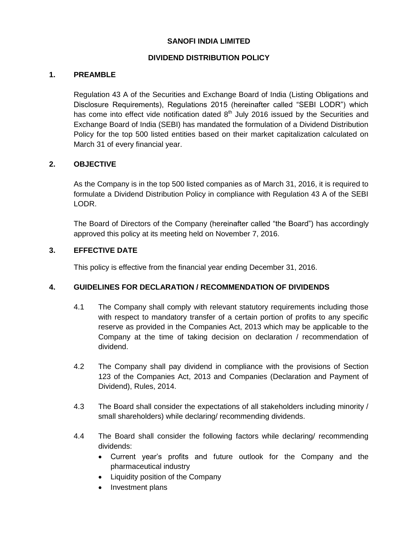## **SANOFI INDIA LIMITED**

## **DIVIDEND DISTRIBUTION POLICY**

#### **1. PREAMBLE**

Regulation 43 A of the Securities and Exchange Board of India (Listing Obligations and Disclosure Requirements), Regulations 2015 (hereinafter called "SEBI LODR") which has come into effect vide notification dated  $8<sup>th</sup>$  July 2016 issued by the Securities and Exchange Board of India (SEBI) has mandated the formulation of a Dividend Distribution Policy for the top 500 listed entities based on their market capitalization calculated on March 31 of every financial year.

#### **2. OBJECTIVE**

As the Company is in the top 500 listed companies as of March 31, 2016, it is required to formulate a Dividend Distribution Policy in compliance with Regulation 43 A of the SEBI LODR.

The Board of Directors of the Company (hereinafter called "the Board") has accordingly approved this policy at its meeting held on November 7, 2016.

## **3. EFFECTIVE DATE**

This policy is effective from the financial year ending December 31, 2016.

# **4. GUIDELINES FOR DECLARATION / RECOMMENDATION OF DIVIDENDS**

- 4.1 The Company shall comply with relevant statutory requirements including those with respect to mandatory transfer of a certain portion of profits to any specific reserve as provided in the Companies Act, 2013 which may be applicable to the Company at the time of taking decision on declaration / recommendation of dividend.
- 4.2 The Company shall pay dividend in compliance with the provisions of Section 123 of the Companies Act, 2013 and Companies (Declaration and Payment of Dividend), Rules, 2014.
- 4.3 The Board shall consider the expectations of all stakeholders including minority / small shareholders) while declaring/ recommending dividends.
- 4.4 The Board shall consider the following factors while declaring/ recommending dividends:
	- Current year's profits and future outlook for the Company and the pharmaceutical industry
	- Liquidity position of the Company
	- Investment plans